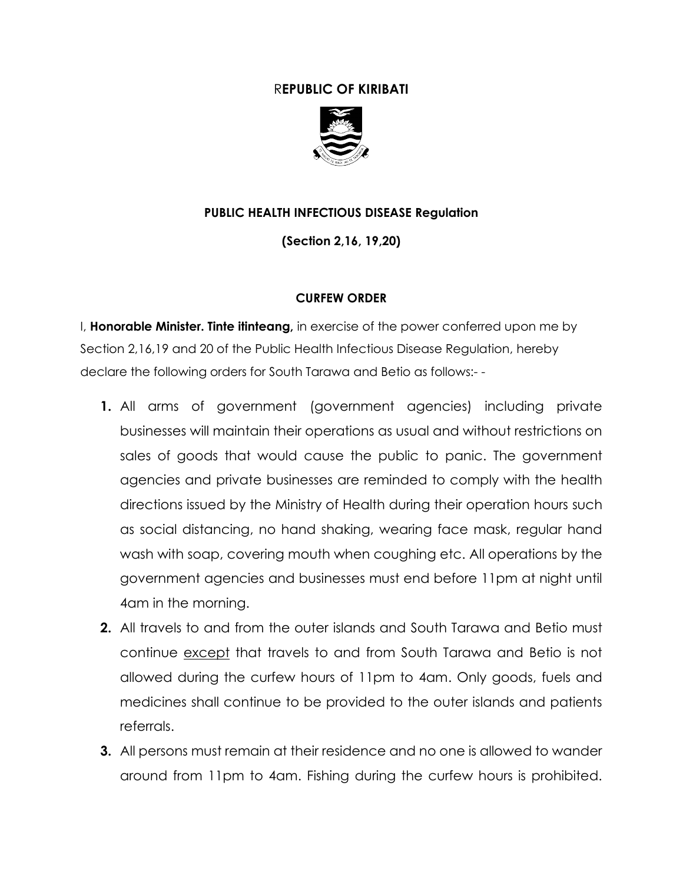## R**EPUBLIC OF KIRIBATI**



## **PUBLIC HEALTH INFECTIOUS DISEASE Regulation**

**(Section 2,16, 19,20)**

## **CURFEW ORDER**

I, **Honorable Minister. Tinte itinteang,** in exercise of the power conferred upon me by Section 2,16,19 and 20 of the Public Health Infectious Disease Regulation, hereby declare the following orders for South Tarawa and Betio as follows:- -

- **1.** All arms of government (government agencies) including private businesses will maintain their operations as usual and without restrictions on sales of goods that would cause the public to panic. The government agencies and private businesses are reminded to comply with the health directions issued by the Ministry of Health during their operation hours such as social distancing, no hand shaking, wearing face mask, regular hand wash with soap, covering mouth when coughing etc. All operations by the government agencies and businesses must end before 11pm at night until 4am in the morning.
- **2.** All travels to and from the outer islands and South Tarawa and Betio must continue except that travels to and from South Tarawa and Betio is not allowed during the curfew hours of 11pm to 4am. Only goods, fuels and medicines shall continue to be provided to the outer islands and patients referrals.
- **3.** All persons must remain at their residence and no one is allowed to wander around from 11pm to 4am. Fishing during the curfew hours is prohibited.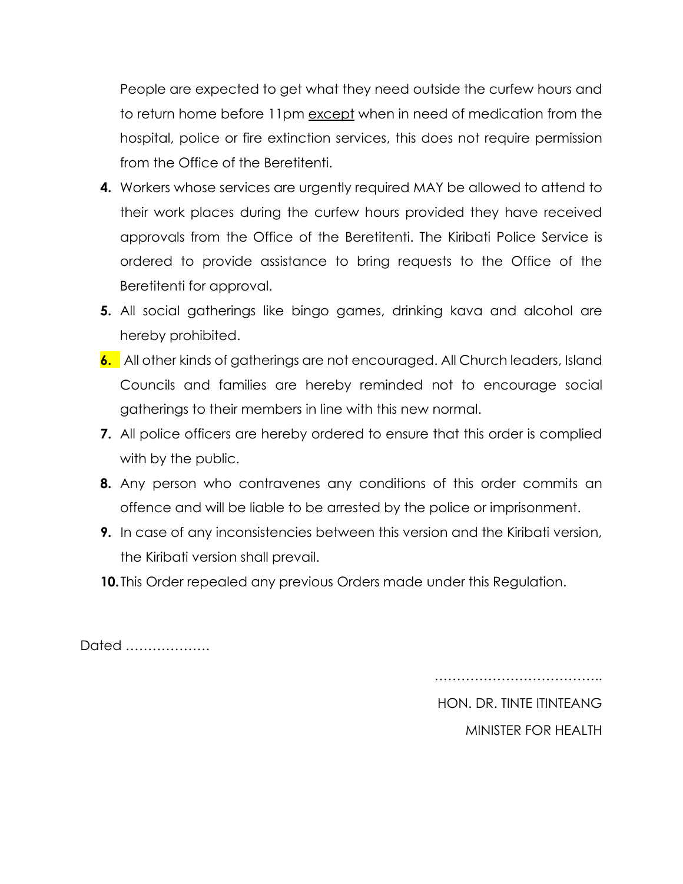People are expected to get what they need outside the curfew hours and to return home before 11pm except when in need of medication from the hospital, police or fire extinction services, this does not require permission from the Office of the Beretitenti.

- **4.** Workers whose services are urgently required MAY be allowed to attend to their work places during the curfew hours provided they have received approvals from the Office of the Beretitenti. The Kiribati Police Service is ordered to provide assistance to bring requests to the Office of the Beretitenti for approval.
- **5.** All social gatherings like bingo games, drinking kava and alcohol are hereby prohibited.
- **6.** All other kinds of gatherings are not encouraged. All Church leaders, Island Councils and families are hereby reminded not to encourage social gatherings to their members in line with this new normal.
- **7.** All police officers are hereby ordered to ensure that this order is complied with by the public.
- **8.** Any person who contravenes any conditions of this order commits an offence and will be liable to be arrested by the police or imprisonment.
- **9.** In case of any inconsistencies between this version and the Kiribati version, the Kiribati version shall prevail.
- **10.**This Order repealed any previous Orders made under this Regulation.

Dated ……………….

…………………………………………

HON. DR. TINTE ITINTEANG MINISTER FOR HEALTH